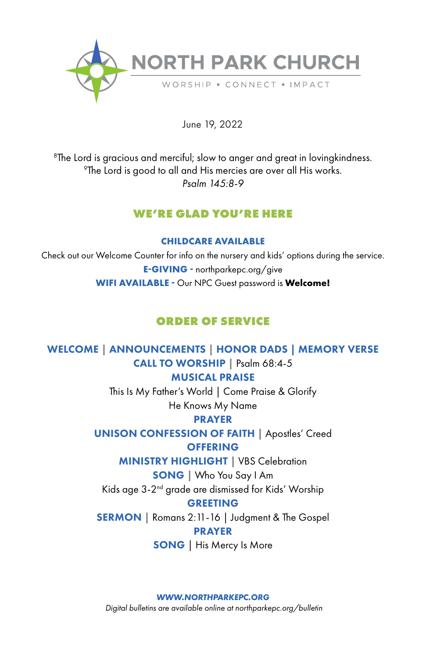

June 19, 2022

 ${}^{8}$ The Lord is gracious and merciful; slow to anger and great in lovingkindness.<br><sup>9</sup>The Lord is good to all and His mercies are over all His werks  $\mathrm{P}$ The Lord is good to all and His mercies are over all His works. *Psalm 145:8-9*

# **WE'RE GLAD YOU'RE HERE**

#### **CHILDCARE AVAILABLE**

Check out our Welcome Counter for info on the nursery and kids' options during the service. **E-GIVING -** northparkepc.org/give **WIFI AVAILABLE -** Our NPC Guest password is **Welcome!**

# **ORDER OF SERVICE**

WELCOME | ANNOUNCEMENTS | HONOR DADS | MEMORY VERSE CALL TO WORSHIP | Psalm 68:4-5

# MUSICAL PRAISE

This Is My Father's World | Come Praise & Glorify He Knows My Name

# PRAYER

UNISON CONFESSION OF FAITH **|** Apostles' Creed **OFFERING** 

MINISTRY HIGHLIGHT **|** VBS Celebration

SONG | Who You Say I Am

Kids age 3-2nd grade are dismissed for Kids' Worship

# GREETING

SERMON | Romans 2:11-16 | Judgment & The Gospel PRAYER

SONG | His Mercy Is More

*WWW.NORTHPARKEPC.ORG*

*Digital bulletins are available online at northparkepc.org/bulletin*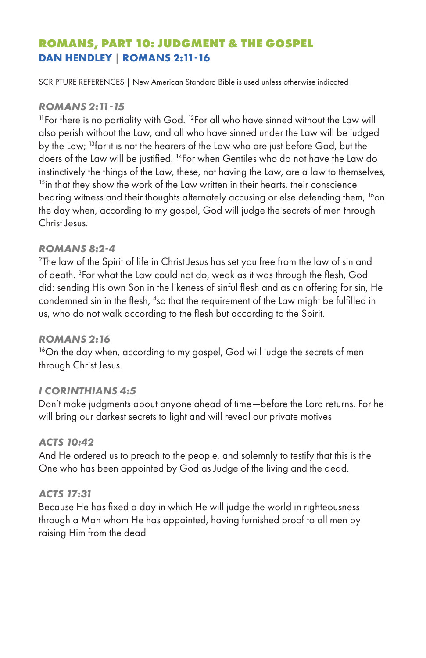# **ROMANS, PART 10: JUDGMENT & THE GOSPEL DAN HENDLEY | ROMANS 2:11-16**

SCRIPTURE REFERENCES | New American Standard Bible is used unless otherwise indicated

#### *ROMANS 2:11-15*

<sup>11</sup>For there is no partiality with God. <sup>12</sup>For all who have sinned without the Law will also perish without the Law, and all who have sinned under the Law will be judged by the Law; 13for it is not the hearers of the Law who are just before God, but the doers of the Law will be justified. 14For when Gentiles who do not have the Law do instinctively the things of the Law, these, not having the Law, are a law to themselves, <sup>15</sup>in that they show the work of the Law written in their hearts, their conscience bearing witness and their thoughts alternately accusing or else defending them, <sup>16</sup>on the day when, according to my gospel, God will judge the secrets of men through Christ Jesus.

## *ROMANS 8:2-4*

<sup>2</sup>The law of the Spirit of life in Christ Jesus has set you free from the law of sin and of death. 3 For what the Law could not do, weak as it was through the flesh, God did: sending His own Son in the likeness of sinful flesh and as an offering for sin, He condemned sin in the flesh, <sup>4</sup>so that the requirement of the Law might be fulfilled in us, who do not walk according to the flesh but according to the Spirit.

#### *ROMANS 2:16*

<sup>16</sup>On the day when, according to my gospel, God will judge the secrets of men through Christ Jesus.

# *I CORINTHIANS 4:5*

Don't make judgments about anyone ahead of time—before the Lord returns. For he will bring our darkest secrets to light and will reveal our private motives

#### *ACTS 10:42*

And He ordered us to preach to the people, and solemnly to testify that this is the One who has been appointed by God as Judge of the living and the dead.

#### *ACTS 17:31*

Because He has fixed a day in which He will judge the world in righteousness through a Man whom He has appointed, having furnished proof to all men by raising Him from the dead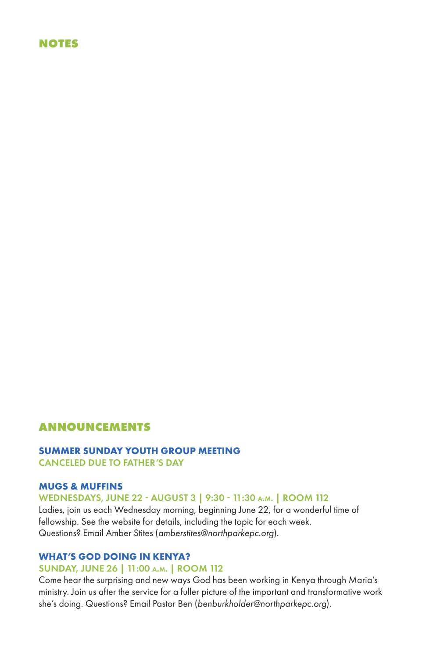#### **NOTES**

## **ANNOUNCEMENTS**

#### **SUMMER SUNDAY YOUTH GROUP MEETING** CANCELED DUE TO FATHER'S DAY

#### **MUGS & MUFFINS**

#### WEDNESDAYS, JUNE 22 - AUGUST 3 | 9:30 - 11:30 a.m. | ROOM 112

Ladies, join us each Wednesday morning, beginning June 22, for a wonderful time of fellowship. See the website for details, including the topic for each week. Questions? Email Amber Stites (*amberstites@northparkepc.org*).

#### **WHAT'S GOD DOING IN KENYA?**

#### SUNDAY, JUNE 26 | 11:00 a.m. | ROOM 112

Come hear the surprising and new ways God has been working in Kenya through Maria's ministry. Join us after the service for a fuller picture of the important and transformative work she's doing. Questions? Email Pastor Ben (*benburkholder@northparkepc.org*).